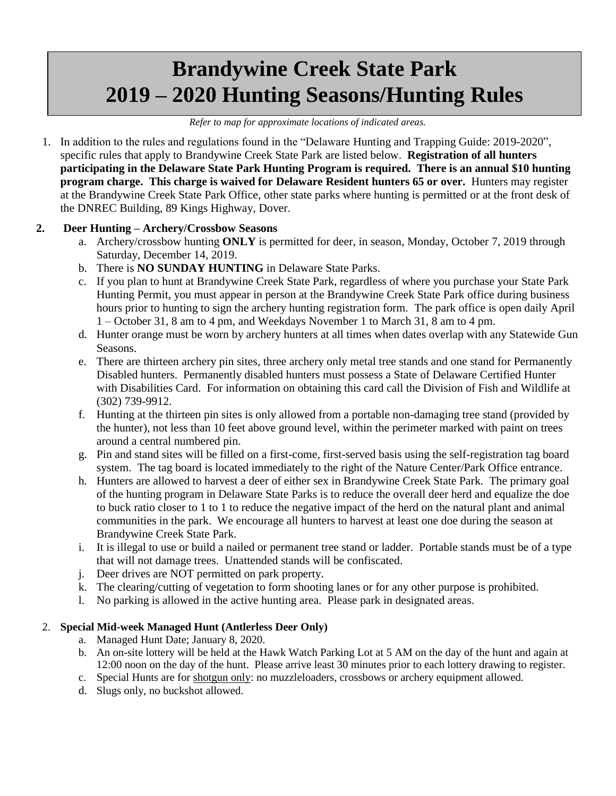# **Brandywine Creek State Park 2019 – 2020 Hunting Seasons/Hunting Rules**

#### *Refer to map for approximate locations of indicated areas.*

1. In addition to the rules and regulations found in the "Delaware Hunting and Trapping Guide: 2019-2020", specific rules that apply to Brandywine Creek State Park are listed below. **Registration of all hunters participating in the Delaware State Park Hunting Program is required. There is an annual \$10 hunting program charge. This charge is waived for Delaware Resident hunters 65 or over.** Hunters may register at the Brandywine Creek State Park Office, other state parks where hunting is permitted or at the front desk of the DNREC Building, 89 Kings Highway, Dover.

## **2. Deer Hunting – Archery/Crossbow Seasons**

- a. Archery/crossbow hunting **ONLY** is permitted for deer, in season, Monday, October 7, 2019 through Saturday, December 14, 2019.
- b. There is **NO SUNDAY HUNTING** in Delaware State Parks.
- c. If you plan to hunt at Brandywine Creek State Park, regardless of where you purchase your State Park Hunting Permit, you must appear in person at the Brandywine Creek State Park office during business hours prior to hunting to sign the archery hunting registration form. The park office is open daily April 1 – October 31, 8 am to 4 pm, and Weekdays November 1 to March 31, 8 am to 4 pm.
- d. Hunter orange must be worn by archery hunters at all times when dates overlap with any Statewide Gun Seasons.
- e. There are thirteen archery pin sites, three archery only metal tree stands and one stand for Permanently Disabled hunters. Permanently disabled hunters must possess a State of Delaware Certified Hunter with Disabilities Card. For information on obtaining this card call the Division of Fish and Wildlife at (302) 739-9912.
- f. Hunting at the thirteen pin sites is only allowed from a portable non-damaging tree stand (provided by the hunter), not less than 10 feet above ground level, within the perimeter marked with paint on trees around a central numbered pin.
- g. Pin and stand sites will be filled on a first-come, first-served basis using the self-registration tag board system. The tag board is located immediately to the right of the Nature Center/Park Office entrance.
- h. Hunters are allowed to harvest a deer of either sex in Brandywine Creek State Park. The primary goal of the hunting program in Delaware State Parks is to reduce the overall deer herd and equalize the doe to buck ratio closer to 1 to 1 to reduce the negative impact of the herd on the natural plant and animal communities in the park. We encourage all hunters to harvest at least one doe during the season at Brandywine Creek State Park.
- i. It is illegal to use or build a nailed or permanent tree stand or ladder. Portable stands must be of a type that will not damage trees. Unattended stands will be confiscated.
- j. Deer drives are NOT permitted on park property.
- k. The clearing/cutting of vegetation to form shooting lanes or for any other purpose is prohibited.
- l. No parking is allowed in the active hunting area. Please park in designated areas.

#### 2. **Special Mid-week Managed Hunt (Antlerless Deer Only)**

- a. Managed Hunt Date; January 8, 2020.
- b. An on-site lottery will be held at the Hawk Watch Parking Lot at 5 AM on the day of the hunt and again at 12:00 noon on the day of the hunt. Please arrive least 30 minutes prior to each lottery drawing to register.
- c. Special Hunts are for shotgun only: no muzzleloaders, crossbows or archery equipment allowed.
- d. Slugs only, no buckshot allowed.